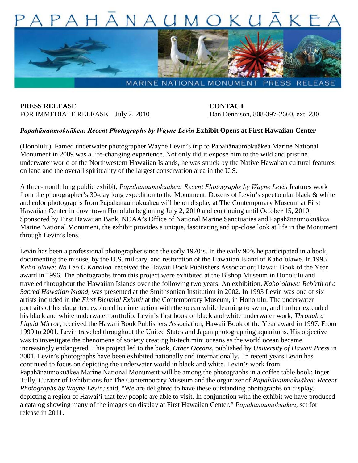

**PRESS RELEASE CONTACT** FOR IMMEDIATE RELEASE—July 2, 2010 Dan Dennison, 808-397-2660, ext. 230

## *Papahānaumokuākea: Recent Photographs by Wayne Levin* **Exhibit Opens at First Hawaiian Center**

(Honolulu) Famed underwater photographer Wayne Levin's trip to Papahānaumokuākea Marine National Monument in 2009 was a life-changing experience. Not only did it expose him to the wild and pristine underwater world of the Northwestern Hawaiian Islands, he was struck by the Native Hawaiian cultural features on land and the overall spirituality of the largest conservation area in the U.S.

A three-month long public exhibit, *Papahānaumokuākea: Recent Photographs by Wayne Levin* features work from the photographer's 30-day long expedition to the Monument. Dozens of Levin's spectacular black & white and color photographs from Papahānaumokuākea will be on display at The Contemporary Museum at First Hawaiian Center in downtown Honolulu beginning July 2, 2010 and continuing until October 15, 2010. Sponsored by First Hawaiian Bank, NOAA's Office of National Marine Sanctuaries and Papahānaumokuākea Marine National Monument, the exhibit provides a unique, fascinating and up-close look at life in the Monument through Levin's lens.

Levin has been a professional photographer since the early 1970's. In the early 90's he participated in a book, documenting the misuse, by the U.S. military, and restoration of the Hawaiian Island of Kaho`olawe. In 1995 *Kaho`olawe: Na Leo O Kanaloa* received the Hawaii Book Publishers Association; Hawaii Book of the Year award in 1996. The photographs from this project were exhibited at the Bishop Museum in Honolulu and traveled throughout the Hawaiian Islands over the following two years. An exhibition, *Kaho`olawe: Rebirth of a Sacred Hawaiian Island*, was presented at the Smithsonian Institution in 2002. In 1993 Levin was one of six artists included in the *First Biennial Exhibit* at the Contemporary Museum, in Honolulu. The underwater portraits of his daughter, explored her interaction with the ocean while learning to swim, and further extended his black and white underwater portfolio. Levin's first book of black and white underwater work, *Through a Liquid Mirror*, received the Hawaii Book Publishers Association, Hawaii Book of the Year award in 1997. From 1999 to 2001, Levin traveled throughout the United States and Japan photographing aquariums. His objective was to investigate the phenomena of society creating hi-tech mini oceans as the world ocean became increasingly endangered. This project led to the book, *Other Oceans*, published by *University of Hawaii Press* in 2001. Levin's photographs have been exhibited nationally and internationally. In recent years Levin has continued to focus on depicting the underwater world in black and white. Levin's work from Papahānaumokuākea Marine National Monument will be among the photographs in a coffee table book; Inger Tully, Curator of Exhibitions for The Contemporary Museum and the organizer of *Papahānaumokuākea: Recent Photographs by Wayne Levin;* said, "We are delighted to have these outstanding photographs on display, depicting a region of Hawai'i that few people are able to visit. In conjunction with the exhibit we have produced a catalog showing many of the images on display at First Hawaiian Center." *Papahānaumokuākea,* set for release in 2011.